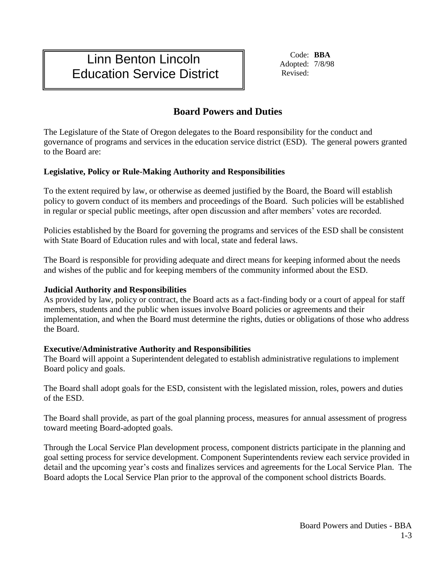# Linn Benton Lincoln Education Service District

Code: **BBA** Adopted: 7/8/98 Revised:

# **Board Powers and Duties**

The Legislature of the State of Oregon delegates to the Board responsibility for the conduct and governance of programs and services in the education service district (ESD). The general powers granted to the Board are:

## **Legislative, Policy or Rule-Making Authority and Responsibilities**

To the extent required by law, or otherwise as deemed justified by the Board, the Board will establish policy to govern conduct of its members and proceedings of the Board. Such policies will be established in regular or special public meetings, after open discussion and after members' votes are recorded.

Policies established by the Board for governing the programs and services of the ESD shall be consistent with State Board of Education rules and with local, state and federal laws.

The Board is responsible for providing adequate and direct means for keeping informed about the needs and wishes of the public and for keeping members of the community informed about the ESD.

### **Judicial Authority and Responsibilities**

As provided by law, policy or contract, the Board acts as a fact-finding body or a court of appeal for staff members, students and the public when issues involve Board policies or agreements and their implementation, and when the Board must determine the rights, duties or obligations of those who address the Board.

### **Executive/Administrative Authority and Responsibilities**

The Board will appoint a Superintendent delegated to establish administrative regulations to implement Board policy and goals.

The Board shall adopt goals for the ESD, consistent with the legislated mission, roles, powers and duties of the ESD.

The Board shall provide, as part of the goal planning process, measures for annual assessment of progress toward meeting Board-adopted goals.

Through the Local Service Plan development process, component districts participate in the planning and goal setting process for service development. Component Superintendents review each service provided in detail and the upcoming year's costs and finalizes services and agreements for the Local Service Plan. The Board adopts the Local Service Plan prior to the approval of the component school districts Boards.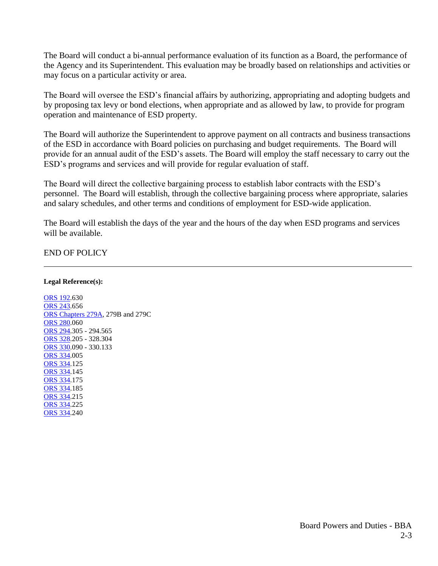The Board will conduct a bi**-**annual performance evaluation of its function as a Board, the performance of the Agency and its Superintendent. This evaluation may be broadly based on relationships and activities or may focus on a particular activity or area.

The Board will oversee the ESD's financial affairs by authorizing, appropriating and adopting budgets and by proposing tax levy or bond elections, when appropriate and as allowed by law, to provide for program operation and maintenance of ESD property.

The Board will authorize the Superintendent to approve payment on all contracts and business transactions of the ESD in accordance with Board policies on purchasing and budget requirements. The Board will provide for an annual audit of the ESD's assets. The Board will employ the staff necessary to carry out the ESD's programs and services and will provide for regular evaluation of staff.

The Board will direct the collective bargaining process to establish labor contracts with the ESD's personnel. The Board will establish, through the collective bargaining process where appropriate, salaries and salary schedules, and other terms and conditions of employment for ESD-wide application.

The Board will establish the days of the year and the hours of the day when ESD programs and services will be available.

END OF POLICY

**Legal Reference(s):**

[ORS 192.](https://www.oregonlegislature.gov/bills_laws/ors/ors192.html)630 [ORS 243.](https://www.oregonlegislature.gov/bills_laws/ors/ors243.html)656 [ORS Chapters 279A,](https://www.oregonlegislature.gov/bills_laws/ors/ors279a.html) 279B and 279C [ORS 280.](https://www.oregonlegislature.gov/bills_laws/ors/ors280.html)060 [ORS 294.](https://www.oregonlegislature.gov/bills_laws/ors/ors294.html)305 - 294.565 [ORS 328.](https://www.oregonlaws.org/ors/chapter/328)205 - 328.304 ORS 330.090 - 330.133 [ORS 334.](https://www.oregonlaws.org/ors/chapter/334)005 [ORS 334.](https://www.oregonlaws.org/ors/chapter/334)125 [ORS 334.](https://www.oregonlaws.org/ors/chapter/334)145 [ORS 334.](https://www.oregonlaws.org/ors/chapter/334)175 [ORS 334.](https://www.oregonlaws.org/ors/chapter/334)185 [ORS 334.](https://www.oregonlaws.org/ors/chapter/334)215 [ORS 334.](https://www.oregonlaws.org/ors/chapter/334)225 [ORS 334.](https://www.oregonlaws.org/ors/chapter/334)240